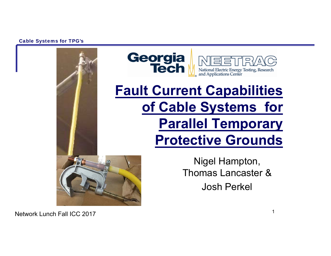



# **Fault Current Capabilities of Cable Systems for Parallel Temporary Protective Grounds**

Nigel Hampton, Thomas Lancaster &Josh Perkel

Network Lunch Fall ICC 2017

1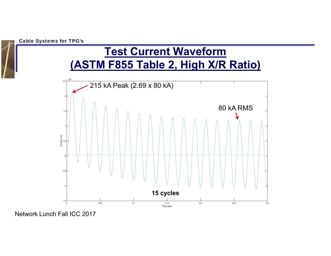

## **Test Current Waveform (ASTM F855 Table 2, High X/R Ratio)**



Network Lunch Fall ICC 2017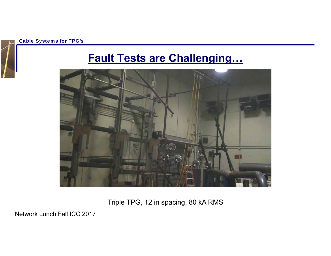### **Fault Tests are Challenging…**



Triple TPG, 12 in spacing, 80 kA RMS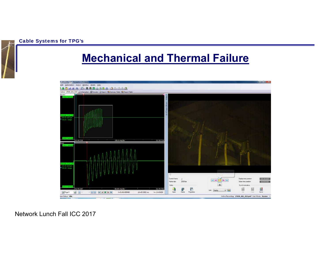### **Mechanical and Thermal Failure**

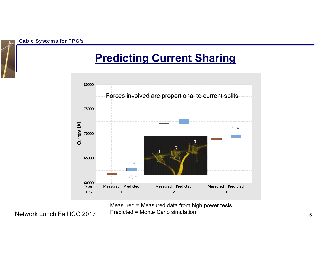### **Predicting Current Sharing**



Measured = Measured data from high power tests Predicted = Monte Carlo simulation